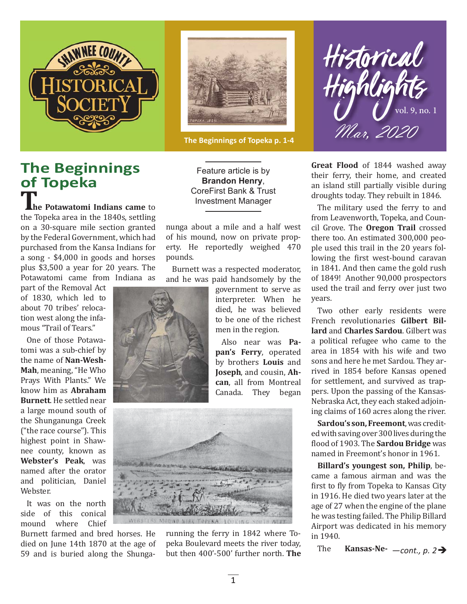



**The Beginnings of Topeka p. 1-4**

## **The Beginnings of Topeka**

**he Potawatomi Indians came** to the Topeka area in the 1840s, settling on a 30-square mile section granted by the Federal Government, which had purchased from the Kansa Indians for a song - \$4,000 in goods and horses plus \$3,500 a year for 20 years. The Potawatomi came from Indiana as

part of the Removal Act of 1830, which led to about 70 tribes' relocation west along the infamous "Trail of Tears."

One of those Potawatomi was a sub-chief by the name of **Nan-Wesh-Mah**, meaning, "He Who Prays With Plants." We know him as **Abraham Burnett**. He settled near a large mound south of the Shunganunga Creek ("the race course"). This highest point in Shawnee county, known as **Webster's Peak**, was named after the orator and politician, Daniel Webster.

It was on the north side of this conical mound where Chief

Burnett farmed and bred horses. He died on June 14th 1870 at the age of 59 and is buried along the Shunga-

Feature article is by **Brandon Henry**, CoreFirst Bank & Trust Investment Manager

nunga about a mile and a half west of his mound, now on private property. He reportedly weighed 470 pounds.

Burnett was a respected moderator, and he was paid handsomely by the



government to serve as interpreter. When he died, he was believed to be one of the richest men in the region.

Also near was **Papan's Ferry**, operated by brothers **Louis** and **Joseph**, and cousin, **Ahcan**, all from Montreal Canada. They began



running the ferry in 1842 where Topeka Boulevard meets the river today, but then 400'-500' further north. **The** 

Historical  $\bigcup_{\mathcal{W}}$  vol. 9, no. 1 Mar, 2020

**Great Flood** of 1844 washed away their ferry, their home, and created an island still partially visible during droughts today. They rebuilt in 1846.

The military used the ferry to and from Leavenworth, Topeka, and Council Grove. The **Oregon Trail** crossed there too. An estimated 300,000 people used this trail in the 20 years following the first west-bound caravan in 1841. And then came the gold rush of 1849! Another 90,000 prospectors used the trail and ferry over just two years.

Two other early residents were French revolutionaries **Gilbert Billard** and **Charles Sardou**. Gilbert was a political refugee who came to the area in 1854 with his wife and two sons and here he met Sardou. They arrived in 1854 before Kansas opened for settlement, and survived as trappers. Upon the passing of the Kansas-Nebraska Act, they each staked adjoining claims of 160 acres along the river.

**Sardou's son, Freemont**, was credited with saving over 300 lives during the ϐlood of 1903. The **Sardou Bridge** was named in Freemont's honor in 1961.

**Billard's youngest son, Philip**, became a famous airman and was the first to fly from Topeka to Kansas City in 1916. He died two years later at the age of 27 when the engine of the plane he was testing failed. The Philip Billard Airport was dedicated in his memory in 1940.

The **Kansas-Ne-**—*cont., p. 2*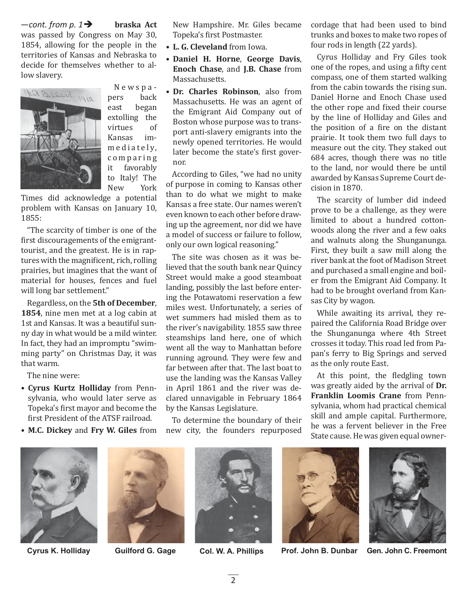**braska Act** was passed by Congress on May 30, 1854, allowing for the people in the territories of Kansas and Nebraska to decide for themselves whether to allow slavery.  $-$ *cont. from p.* 1 $\rightarrow$ 



Newspapers back east began extolling the virtues of Kansas imm e diately, c o m p a r i n g it favorably to Italy! The New York

Times did acknowledge a potential problem with Kansas on January 10, 1855:

"The scarcity of timber is one of the first discouragements of the emigranttourist, and the greatest. He is in raptures with the magnificent, rich, rolling prairies, but imagines that the want of material for houses, fences and fuel will long bar settlement."

Regardless, on the **5th of December**, **1854**, nine men met at a log cabin at 1st and Kansas. It was a beautiful sunny day in what would be a mild winter. In fact, they had an impromptu "swimming party" on Christmas Day, it was that warm.

The nine were:

- **Cyrus Kurtz Holliday** from Pennsylvania, who would later serve as Topeka's first mayor and become the first President of the ATSF railroad.
- **M.C. Dickey** and **Fry W. Giles** from

New Hampshire. Mr. Giles became Topeka's first Postmaster.

- **L. G. Cleveland** from Iowa.
- **Daniel H. Horne**, **George Davis**, **Enoch Chase**, and **J.B. Chase** from Massachusetts.
- **Dr. Charles Robinson**, also from Massachusetts. He was an agent of the Emigrant Aid Company out of Boston whose purpose was to transport anti-slavery emigrants into the newly opened territories. He would later become the state's first governor.

According to Giles, "we had no unity of purpose in coming to Kansas other than to do what we might to make Kansas a free state. Our names weren't even known to each other before drawing up the agreement, nor did we have a model of success or failure to follow, only our own logical reasoning."

The site was chosen as it was believed that the south bank near Quincy Street would make a good steamboat landing, possibly the last before entering the Potawatomi reservation a few miles west. Unfortunately, a series of wet summers had misled them as to the river's navigability. 1855 saw three steamships land here, one of which went all the way to Manhattan before running aground. They were few and far between after that. The last boat to use the landing was the Kansas Valley in April 1861 and the river was declared unnavigable in February 1864 by the Kansas Legislature.

To determine the boundary of their new city, the founders repurposed

cordage that had been used to bind trunks and boxes to make two ropes of four rods in length (22 yards).

Cyrus Holliday and Fry Giles took one of the ropes, and using a fifty cent compass, one of them started walking from the cabin towards the rising sun. Daniel Horne and Enoch Chase used the other rope and fixed their course by the line of Holliday and Giles and the position of a fire on the distant prairie. It took them two full days to measure out the city. They staked out 684 acres, though there was no title to the land, nor would there be until awarded by Kansas Supreme Court decision in 1870.

The scarcity of lumber did indeed prove to be a challenge, as they were limited to about a hundred cottonwoods along the river and a few oaks and walnuts along the Shunganunga. First, they built a saw mill along the river bank at the foot of Madison Street and purchased a small engine and boiler from the Emigrant Aid Company. It had to be brought overland from Kansas City by wagon.

While awaiting its arrival, they repaired the California Road Bridge over the Shunganunga where 4th Street crosses it today. This road led from Papan's ferry to Big Springs and served as the only route East.

At this point, the fledgling town was greatly aided by the arrival of **Dr. Franklin Loomis Crane** from Pennsylvania, whom had practical chemical skill and ample capital. Furthermore, he was a fervent believer in the Free State cause. He was given equal owner-











**Cyrus K. Holliday Guilford G. Gage Col. W. A. Phillips Prof. John B. Dunbar Gen. John C. Freemont**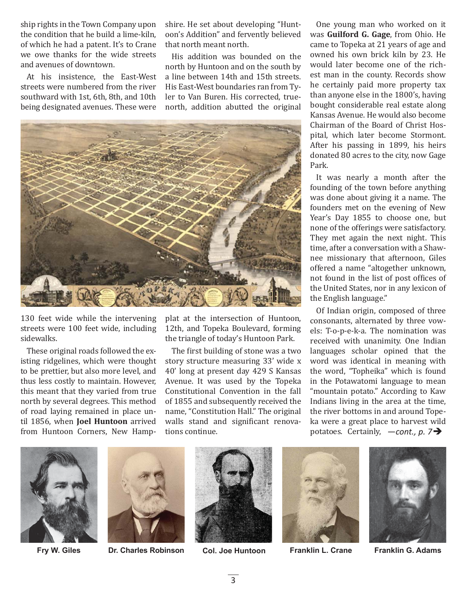ship rights in the Town Company upon the condition that he build a lime-kiln, of which he had a patent. It's to Crane we owe thanks for the wide streets and avenues of downtown.

At his insistence, the East-West streets were numbered from the river southward with 1st, 6th, 8th, and 10th being designated avenues. These were

shire. He set about developing "Huntoon's Addition" and fervently believed that north meant north.

His addition was bounded on the north by Huntoon and on the south by a line between 14th and 15th streets. His East-West boundaries ran from Tyler to Van Buren. His corrected, truenorth, addition abutted the original



130 feet wide while the intervening streets were 100 feet wide, including sidewalks.

These original roads followed the existing ridgelines, which were thought to be prettier, but also more level, and thus less costly to maintain. However, this meant that they varied from true north by several degrees. This method of road laying remained in place until 1856, when **Joel Huntoon** arrived from Huntoon Corners, New Hampplat at the intersection of Huntoon, 12th, and Topeka Boulevard, forming the triangle of today's Huntoon Park.

The first building of stone was a two story structure measuring 33' wide x 40' long at present day 429 S Kansas Avenue. It was used by the Topeka Constitutional Convention in the fall of 1855 and subsequently received the name, "Constitution Hall." The original walls stand and significant renovations continue.

One young man who worked on it was **Guilford G. Gage**, from Ohio. He came to Topeka at 21 years of age and owned his own brick kiln by 23. He would later become one of the richest man in the county. Records show he certainly paid more property tax than anyone else in the 1800's, having bought considerable real estate along Kansas Avenue. He would also become Chairman of the Board of Christ Hospital, which later become Stormont. After his passing in 1899, his heirs donated 80 acres to the city, now Gage Park.

It was nearly a month after the founding of the town before anything was done about giving it a name. The founders met on the evening of New Year's Day 1855 to choose one, but none of the offerings were satisfactory. They met again the next night. This time, after a conversation with a Shawnee missionary that afternoon, Giles offered a name "altogether unknown, not found in the list of post offices of the United States, nor in any lexicon of the English language."

Of Indian origin, composed of three consonants, alternated by three vowels: T-o-p-e-k-a. The nomination was received with unanimity. One Indian languages scholar opined that the word was identical in meaning with the word, "Topheika" which is found in the Potawatomi language to mean "mountain potato." According to Kaw Indians living in the area at the time, the river bottoms in and around Topeka were a great place to harvest wild potatoes. Certainly, —*cont., p. 7*





**Fry W. Giles Dr. Charles Robinson Col. Joe Huntoon Franklin L. Crane Franklin G. Adams**





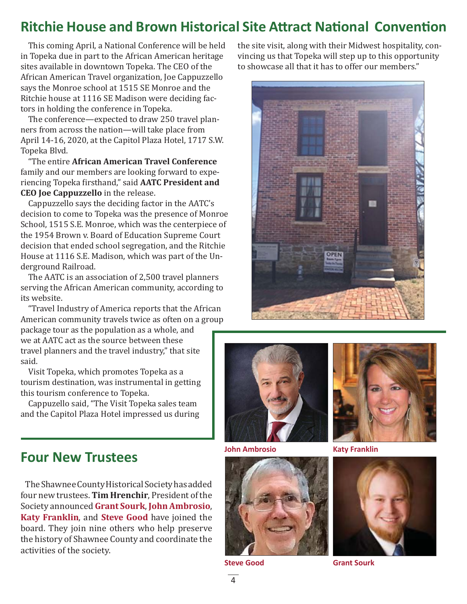## **Ritchie House and Brown Historical Site Attract National Convention**

This coming April, a National Conference will be held in Topeka due in part to the African American heritage sites available in downtown Topeka. The CEO of the African American Travel organization, Joe Cappuzzello says the Monroe school at 1515 SE Monroe and the Ritchie house at 1116 SE Madison were deciding factors in holding the conference in Topeka.

The conference—expected to draw 250 travel planners from across the nation—will take place from April 14-16, 2020, at the Capitol Plaza Hotel, 1717 S.W. Topeka Blvd.

"The entire **African American Travel Conference** family and our members are looking forward to experiencing Topeka ϐirsthand," said **AATC President and CEO Joe Cappuzzello** in the release.

Cappuzzello says the deciding factor in the AATC's decision to come to Topeka was the presence of Monroe School, 1515 S.E. Monroe, which was the centerpiece of the 1954 Brown v. Board of Education Supreme Court decision that ended school segregation, and the Ritchie House at 1116 S.E. Madison, which was part of the Underground Railroad.

The AATC is an association of 2,500 travel planners serving the African American community, according to its website.

"Travel Industry of America reports that the African American community travels twice as often on a group

package tour as the population as a whole, and we at AATC act as the source between these travel planners and the travel industry," that site said.

Visit Topeka, which promotes Topeka as a tourism destination, was instrumental in getting this tourism conference to Topeka.

Cappuzello said, "The Visit Topeka sales team and the Capitol Plaza Hotel impressed us during

**Four New Trustees**

The Shawnee County Historical Society has added four new trustees. **Tim Hrenchir**, President of the Society announced **Grant Sourk**, **John Ambrosio**, **Katy Franklin**, and **Steve Good** have joined the board. They join nine others who help preserve the history of Shawnee County and coordinate the activities of the society.

the site visit, along with their Midwest hospitality, convincing us that Topeka will step up to this opportunity to showcase all that it has to offer our members."





**John Ambrosio Katy Franklin**



**Steve Good Grant Sourk**



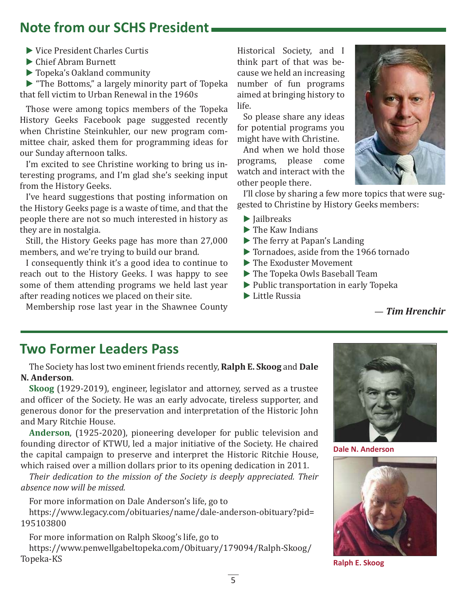## **Note from our SCHS President**

- ▶ Vice President Charles Curtis
- ▶ Chief Abram Burnett
- ▶ Topeka's Oakland community

▶ "The Bottoms," a largely minority part of Topeka that fell victim to Urban Renewal in the 1960s

Those were among topics members of the Topeka History Geeks Facebook page suggested recently when Christine Steinkuhler, our new program committee chair, asked them for programming ideas for our Sunday afternoon talks.

I'm excited to see Christine working to bring us interesting programs, and I'm glad she's seeking input from the History Geeks.

I've heard suggestions that posting information on the History Geeks page is a waste of time, and that the people there are not so much interested in history as they are in nostalgia.

Still, the History Geeks page has more than 27,000 members, and we're trying to build our brand.

I consequently think it's a good idea to continue to reach out to the History Geeks. I was happy to see some of them attending programs we held last year after reading notices we placed on their site.

Membership rose last year in the Shawnee County

Historical Society, and I think part of that was because we held an increasing number of fun programs aimed at bringing history to life.

So please share any ideas for potential programs you might have with Christine.

And when we hold those programs, please come watch and interact with the other people there.

I'll close by sharing a few more topics that were suggested to Christine by History Geeks members:

- ▶ Jailbreaks
- ▶ The Kaw Indians
- ▶ The ferry at Papan's Landing
- ▶ Tornadoes, aside from the 1966 tornado
- ▶ The Exoduster Movement
- ▶ The Topeka Owls Baseball Team
- ▶ Public transportation in early Topeka
- ▶ Little Russia

#### — *Tim Hrenchir*

## **Two Former Leaders Pass**

The Society has lost two eminent friends recently, **Ralph E. Skoog** and **Dale N. Anderson**.

**Skoog** (1929-2019), engineer, legislator and attorney, served as a trustee and officer of the Society. He was an early advocate, tireless supporter, and generous donor for the preservation and interpretation of the Historic John and Mary Ritchie House.

**Anderson**, (1925-2020), pioneering developer for public television and founding director of KTWU, led a major initiative of the Society. He chaired the capital campaign to preserve and interpret the Historic Ritchie House, which raised over a million dollars prior to its opening dedication in 2011.

*Their dedication to the mission of the Society is deeply appreciated. Their absence now will be missed.*

For more information on Dale Anderson's life, go to https://www.legacy.com/obituaries/name/dale-anderson-obituary?pid=

195103800

For more information on Ralph Skoog's life, go to https://www.penwellgabeltopeka.com/Obituary/179094/Ralph-Skoog/ Topeka-KS



**Dale N. Anderson**



**Ralph E. Skoog**

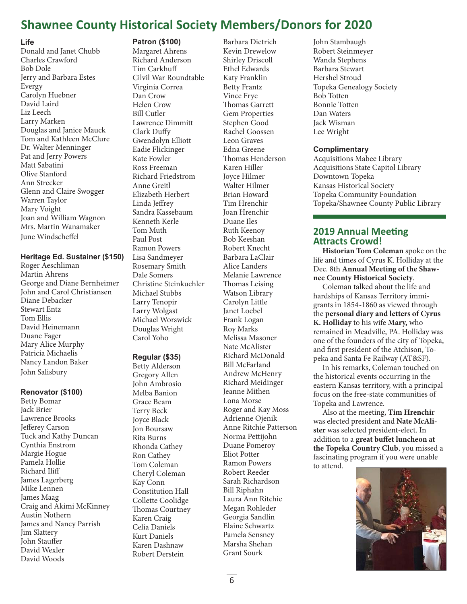## **Shawnee County Historical Society Members/Donors for 2020**

#### **Life**

Donald and Janet Chubb Charles Crawford Bob Dole Jerry and Barbara Estes Evergy Carolyn Huebner David Laird Liz Leech Larry Marken Douglas and Janice Mauck Tom and Kathleen McClure Dr. Walter Menninger Pat and Jerry Powers Matt Sabatini Olive Stanford Ann Strecker Glenn and Claire Swogger Warren Taylor Mary Voight Joan and William Wagnon Mrs. Martin Wanamaker June Windscheffel

#### **Heritage Ed. Sustainer (\$150)**

Roger Aeschliman Martin Ahrens George and Diane Bernheimer John and Carol Christiansen Diane Debacker Stewart Entz Tom Ellis David Heinemann Duane Fager Mary Alice Murphy Patricia Michaelis Nancy Landon Baker John Salisbury

#### **Renovator (\$100)**

Betty Bomar Jack Brier Lawrence Brooks Jefferey Carson Tuck and Kathy Duncan Cynthia Enstrom Margie Hogue Pamela Hollie Richard Iliff James Lagerberg Mike Lennen James Maag Craig and Akimi McKinney Austin Nothern James and Nancy Parrish Jim Slattery John Stauffer David Wexler David Woods

#### **Patron (\$100)**

Margaret Ahrens Richard Anderson Tim Carkhuff Cilvil War Roundtable Virginia Correa Dan Crow Helen Crow Bill Cutler Lawrence Dimmitt Clark Duffy Gwendolyn Elliott Eadie Flickinger Kate Fowler Ross Freeman Richard Friedstrom Anne Greitl Elizabeth Herbert Linda Jeffrey Sandra Kassebaum Kenneth Kerle Tom Muth Paul Post Ramon Powers Lisa Sandmeyer Rosemary Smith Dale Somers Christine Steinkuehler Michael Stubbs Larry Tenopir Larry Wolgast Michael Worswick Douglas Wright Carol Yoho

#### **Regular (\$35)**

Betty Alderson Gregory Allen John Ambrosio Melba Banion Grace Beam Terry Beck Joyce Black Jon Boursaw Rita Burns Rhonda Cathey Ron Cathey Tom Coleman Cheryl Coleman Kay Conn Constitution Hall Collette Coolidge Thomas Courtney Karen Craig Celia Daniels Kurt Daniels Karen Dashnaw Robert Derstein

Barbara Dietrich Kevin Drewelow Shirley Driscoll Ethel Edwards Katy Franklin Betty Frantz Vince Frye Thomas Garrett Gem Properties Stephen Good Rachel Goossen Leon Graves Edna Greene Thomas Henderson Karen Hiller Joyce Hilmer Walter Hilmer Brian Howard Tim Hrenchir Joan Hrenchir Duane Iles Ruth Keenoy Bob Keeshan Robert Knecht Barbara LaClair Alice Landers Melanie Lawrence Thomas Leising Watson Library Carolyn Little Janet Loebel Frank Logan Roy Marks Melissa Masoner Nate McAlister Richard McDonald Bill McFarland Andrew McHenry Richard Meidinger Jeanne Mithen Lona Morse Roger and Kay Moss Adrienne Ojenik Anne Ritchie Patterson Norma Pettijohn Duane Pomeroy Eliot Potter Ramon Powers Robert Reeder Sarah Richardson Bill Riphahn Laura Ann Ritchie Megan Rohleder Georgia Sandlin Elaine Schwartz Pamela Sensney Marsha Shehan Grant Sourk

John Stambaugh Robert Steinmeyer Wanda Stephens Barbara Stewart Hershel Stroud Topeka Genealogy Society Bob Totten Bonnie Totten Dan Waters Jack Wisman Lee Wright

#### **Complimentary**

Acquisitions Mabee Library Acquisitions State Capitol Library Downtown Topeka Kansas Historical Society Topeka Community Foundation Topeka/Shawnee County Public Library

#### **2019 Annual Meeting Attracts Crowd!**

**Historian Tom Coleman** spoke on the life and times of Cyrus K. Holliday at the Dec. 8th **Annual Meeting of the Shawnee County Historical Society**.

Coleman talked about the life and hardships of Kansas Territory immigrants in 1854-1860 as viewed through the **personal diary and letters of Cyrus K. Holliday** to his wife **Mary,** who remained in Meadville, PA. Holliday was one of the founders of the city of Topeka, and first president of the Atchison, Topeka and Santa Fe Railway (AT&SF).

In his remarks, Coleman touched on the historical events occurring in the eastern Kansas territory, with a principal focus on the free-state communities of Topeka and Lawrence.

Also at the meeting, **Tim Hrenchir** was elected president and **Nate McAlister** was selected president-elect. In addition to a great buffet luncheon at **the Topeka Country Club**, you missed a fascinating program if you were unable to attend.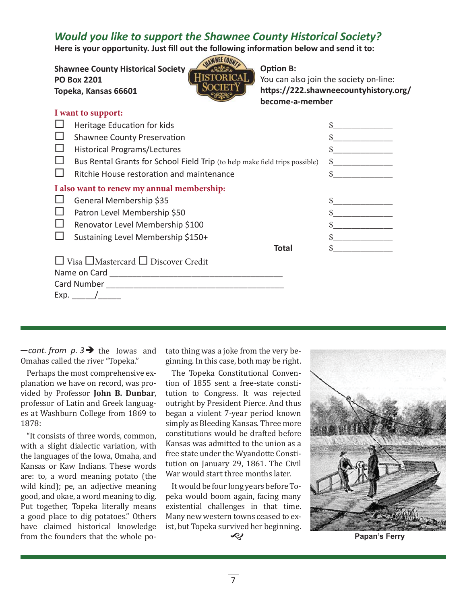### *Would you like to support the Shawnee County Historical Society?*

Here is your opportunity. Just fill out the following information below and send it to:

**Shawnee County Historical Society PO Box 2201 Topeka, Kansas 66601**



#### **Option B:**

You can also join the society on-line: https://222.shawneecountyhistory.org/ **become-a-member**

| I want to support:                         |                                                                             |  |  |  |
|--------------------------------------------|-----------------------------------------------------------------------------|--|--|--|
|                                            | Heritage Education for kids                                                 |  |  |  |
|                                            | <b>Shawnee County Preservation</b>                                          |  |  |  |
|                                            | <b>Historical Programs/Lectures</b>                                         |  |  |  |
|                                            | Bus Rental Grants for School Field Trip (to help make field trips possible) |  |  |  |
|                                            | Ritchie House restoration and maintenance                                   |  |  |  |
| I also want to renew my annual membership: |                                                                             |  |  |  |
|                                            | General Membership \$35                                                     |  |  |  |
|                                            | Patron Level Membership \$50                                                |  |  |  |
|                                            | Renovator Level Membership \$100                                            |  |  |  |
|                                            | Sustaining Level Membership \$150+                                          |  |  |  |
|                                            | <b>Total</b>                                                                |  |  |  |
|                                            | $\Box$ Visa $\Box$ Mastercard $\Box$ Discover Credit                        |  |  |  |
|                                            |                                                                             |  |  |  |
| Card Number <b>Card Number Card Number</b> |                                                                             |  |  |  |
| Exp.                                       |                                                                             |  |  |  |

 $\equiv$  -cont. from  $p.3 \rightarrow$  the Iowas and Omahas called the river "Topeka."

Perhaps the most comprehensive explanation we have on record, was provided by Professor **John B. Dunbar**, professor of Latin and Greek languages at Washburn College from 1869 to 1878:

"It consists of three words, common, with a slight dialectic variation, with the languages of the Iowa, Omaha, and Kansas or Kaw Indians. These words are: to, a word meaning potato (the wild kind); pe, an adjective meaning good, and okae, a word meaning to dig. Put together, Topeka literally means a good place to dig potatoes." Others have claimed historical knowledge from the founders that the whole potato thing was a joke from the very beginning. In this case, both may be right.

The Topeka Constitutional Convention of 1855 sent a free-state constitution to Congress. It was rejected outright by President Pierce. And thus began a violent 7-year period known simply as Bleeding Kansas. Three more constitutions would be drafted before Kansas was admitted to the union as a free state under the Wyandotte Constitution on January 29, 1861. The Civil War would start three months later.

It would be four long years before Topeka would boom again, facing many existential challenges in that time. Many new western towns ceased to exist, but Topeka survived her beginning.





**Papan's Ferry**